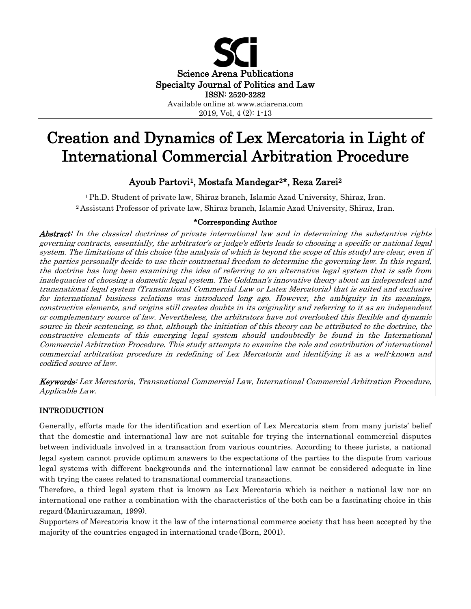

# Creation and Dynamics of Lex Mercatoria in Light of International Commercial Arbitration Procedure

# Ayoub Partovi1, Mostafa Mandegar2\*, Reza Zarei2

1 Ph.D. Student of private law, Shiraz branch, Islamic Azad University, Shiraz, Iran. 2 Assistant Professor of private law, Shiraz branch, Islamic Azad University, Shiraz, Iran.

## \*Corresponding Author

Abstract: In the classical doctrines of private international law and in determining the substantive rights governing contracts, essentially, the arbitrator's or judge's efforts leads to choosing a specific or national legal system. The limitations of this choice (the analysis of which is beyond the scope of this study) are clear, even if the parties personally decide to use their contractual freedom to determine the governing law. In this regard, the doctrine has long been examining the idea of referring to an alternative legal system that is safe from inadequacies of choosing a domestic legal system. The Goldman's innovative theory about an independent and transnational legal system (Transnational Commercial Law or Latex Mercatoria) that is suited and exclusive for international business relations was introduced long ago. However, the ambiguity in its meanings, constructive elements, and origins still creates doubts in its originality and referring to it as an independent or complementary source of law. Nevertheless, the arbitrators have not overlooked this flexible and dynamic source in their sentencing, so that, although the initiation of this theory can be attributed to the doctrine, the constructive elements of this emerging legal system should undoubtedly be found in the International Commercial Arbitration Procedure. This study attempts to examine the role and contribution of international commercial arbitration procedure in redefining of Lex Mercatoria and identifying it as a well-known and codified source of law.

Keywords: Lex Mercatoria, Transnational Commercial Law, International Commercial Arbitration Procedure, Applicable Law.

## INTRODUCTION

Generally, efforts made for the identification and exertion of Lex Mercatoria stem from many jurists' belief that the domestic and international law are not suitable for trying the international commercial disputes between individuals involved in a transaction from various countries. According to these jurists, a national legal system cannot provide optimum answers to the expectations of the parties to the dispute from various legal systems with different backgrounds and the international law cannot be considered adequate in line with trying the cases related to transnational commercial transactions.

Therefore, a third legal system that is known as Lex Mercatoria which is neither a national law nor an international one rather a combination with the characteristics of the both can be a fascinating choice in this regard (Maniruzzaman, 1999).

Supporters of Mercatoria know it the law of the international commerce society that has been accepted by the majority of the countries engaged in international trade (Born, 2001).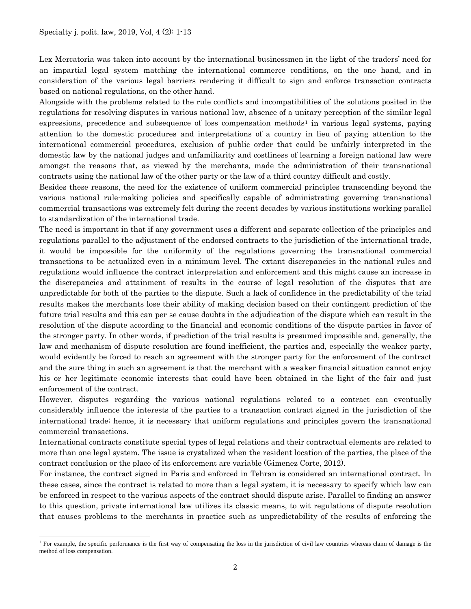$\overline{a}$ 

Lex Mercatoria was taken into account by the international businessmen in the light of the traders' need for an impartial legal system matching the international commerce conditions, on the one hand, and in consideration of the various legal barriers rendering it difficult to sign and enforce transaction contracts based on national regulations, on the other hand.

Alongside with the problems related to the rule conflicts and incompatibilities of the solutions posited in the regulations for resolving disputes in various national law, absence of a unitary perception of the similar legal expressions, precedence and subsequence of loss compensation methods<sup>[1](#page-1-0)</sup> in various legal systems, paying attention to the domestic procedures and interpretations of a country in lieu of paying attention to the international commercial procedures, exclusion of public order that could be unfairly interpreted in the domestic law by the national judges and unfamiliarity and costliness of learning a foreign national law were amongst the reasons that, as viewed by the merchants, made the administration of their transnational contracts using the national law of the other party or the law of a third country difficult and costly.

Besides these reasons, the need for the existence of uniform commercial principles transcending beyond the various national rule-making policies and specifically capable of administrating governing transnational commercial transactions was extremely felt during the recent decades by various institutions working parallel to standardization of the international trade.

The need is important in that if any government uses a different and separate collection of the principles and regulations parallel to the adjustment of the endorsed contracts to the jurisdiction of the international trade, it would be impossible for the uniformity of the regulations governing the transnational commercial transactions to be actualized even in a minimum level. The extant discrepancies in the national rules and regulations would influence the contract interpretation and enforcement and this might cause an increase in the discrepancies and attainment of results in the course of legal resolution of the disputes that are unpredictable for both of the parties to the dispute. Such a lack of confidence in the predictability of the trial results makes the merchants lose their ability of making decision based on their contingent prediction of the future trial results and this can per se cause doubts in the adjudication of the dispute which can result in the resolution of the dispute according to the financial and economic conditions of the dispute parties in favor of the stronger party. In other words, if prediction of the trial results is presumed impossible and, generally, the law and mechanism of dispute resolution are found inefficient, the parties and, especially the weaker party, would evidently be forced to reach an agreement with the stronger party for the enforcement of the contract and the sure thing in such an agreement is that the merchant with a weaker financial situation cannot enjoy his or her legitimate economic interests that could have been obtained in the light of the fair and just enforcement of the contract.

However, disputes regarding the various national regulations related to a contract can eventually considerably influence the interests of the parties to a transaction contract signed in the jurisdiction of the international trade; hence, it is necessary that uniform regulations and principles govern the transnational commercial transactions.

International contracts constitute special types of legal relations and their contractual elements are related to more than one legal system. The issue is crystalized when the resident location of the parties, the place of the contract conclusion or the place of its enforcement are variable (Gimenez Corte, 2012).

For instance, the contract signed in Paris and enforced in Tehran is considered an international contract. In these cases, since the contract is related to more than a legal system, it is necessary to specify which law can be enforced in respect to the various aspects of the contract should dispute arise. Parallel to finding an answer to this question, private international law utilizes its classic means, to wit regulations of dispute resolution that causes problems to the merchants in practice such as unpredictability of the results of enforcing the

<span id="page-1-0"></span><sup>&</sup>lt;sup>1</sup> For example, the specific performance is the first way of compensating the loss in the jurisdiction of civil law countries whereas claim of damage is the method of loss compensation.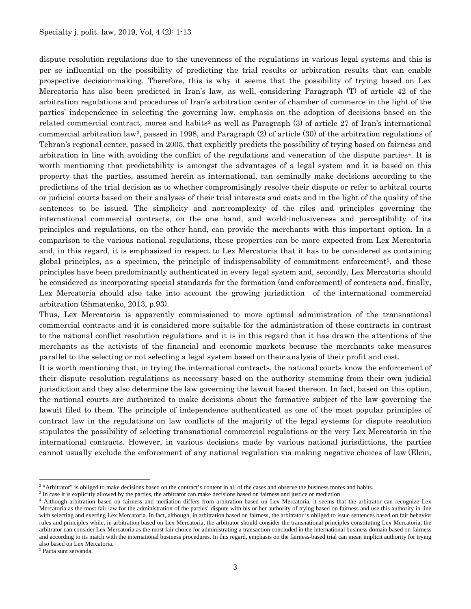dispute resolution regulations due to the unevenness of the regulations in various legal systems and this is per se influential on the possibility of predicting the trial results or arbitration results that can enable prospective decision-making. Therefore, this is why it seems that the possibility of trying based on Lex Mercatoria has also been predicted in Iran's law, as well, considering Paragraph (T) of article 42 of the arbitration regulations and procedures of Iran's arbitration center of chamber of commerce in the light of the parties' independence in selecting the governing law, emphasis on the adoption of decisions based on the related commercial contract, mores and habits<sup>2</sup> as well as Paragraph (3) of article 27 of Iran's international commercial arbitration law[3](#page-2-1), passed in 1998, and Paragraph (2) of article (30) of the arbitration regulations of Tehran's regional center, passed in 2005, that explicitly predicts the possibility of trying based on fairness and arbitration in line with avoiding the conflict of the regulations and veneration of the dispute parties<sup>[4](#page-2-2)</sup>. It is worth mentioning that predictability is amongst the advantages of a legal system and it is based on this property that the parties, assumed herein as international, can seminally make decisions according to the predictions of the trial decision as to whether compromisingly resolve their dispute or refer to arbitral courts or judicial courts based on their analyses of their trial interests and costs and in the light of the quality of the sentences to be issued. The simplicity and non-complexity of the riles and principles governing the international commercial contracts, on the one hand, and world-inclusiveness and perceptibility of its principles and regulations, on the other hand, can provide the merchants with this important option. In a comparison to the various national regulations, these properties can be more expected from Lex Mercatoria and, in this regard, it is emphasized in respect to Lex Mercatoria that it has to be considered as containing global principles, as a specimen, the principle of indispensability of commitment enforcement<sup>5</sup>, and these principles have been predominantly authenticated in every legal system and, secondly, Lex Mercatoria should be considered as incorporating special standards for the formation (and enforcement) of contracts and, finally, Lex Mercatoria should also take into account the growing jurisdiction of the international commercial arbitration (Shmatenko, 2013, p.93).

Thus, Lex Mercatoria is apparently commissioned to more optimal administration of the transnational commercial contracts and it is considered more suitable for the administration of these contracts in contrast to the national conflict resolution regulations and it is in this regard that it has drawn the attentions of the merchants as the activists of the financial and economic markets because the merchants take measures parallel to the selecting or not selecting a legal system based on their analysis of their profit and cost.

It is worth mentioning that, in trying the international contracts, the national courts know the enforcement of their dispute resolution regulations as necessary based on the authority stemming from their own judicial jurisdiction and they also determine the law governing the lawuit based thereon. In fact, based on this option, the national courts are authorized to make decisions about the formative subject of the law governing the lawuit filed to them. The principle of independence authenticated as one of the most popular principles of contract law in the regulations on law conflicts of the majority of the legal systems for dispute resolution stipulates the possibility of selecting transnational commercial regulations or the very Lex Mercatoria in the international contracts. However, in various decisions made by various national jurisdictions, the parties cannot usually exclude the enforcement of any national regulation via making negative choices of law (Elcin,

<span id="page-2-3"></span><sup>5</sup> Pacta sunt servanda.

 $\overline{\phantom{a}}$ 

<span id="page-2-0"></span><sup>&</sup>lt;sup>2</sup> "Arbitrator" is obliged to make decisions based on the contract's content in all of the cases and observe the business mores and habits.<sup>3</sup> In case it is explicitly allowed by the parties, the arbitrator can make decis

<span id="page-2-1"></span>

<span id="page-2-2"></span><sup>&</sup>lt;sup>4</sup> Although arbitration based on fairness and mediation differs from arbitration based on Lex Mercatoria, it seems that the arbitrator can recognize Lex Mercatoria as the most fair law for the administration of the parties' dispute with his or her authority of trying based on fairness and use this authority in line with selecting and exerting Lex Mercatoria. In fact, although, in arbitration based on fairness, the arbitrator is obliged to issue sentences based on fair behavior rules and principles while, in arbitration based on Lex Mercatoria, the arbitrator should consider the transnational principles constituting Lex Mercatoria, the arbitrator can consider Lex Mercatoria as the most fair choice for administrating a transaction concluded in the international business domain based on fairness and according to its match with the international business procedures. In this regard, emphasis on the fairness-based trial can mean implicit authority for trying also based on Lex Mercatoria.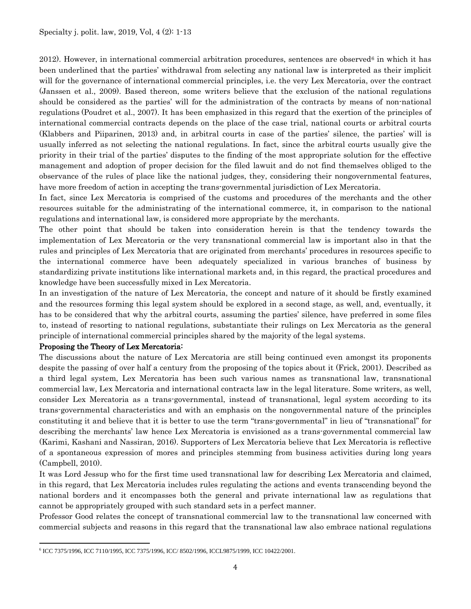2012). However, in international commercial arbitration procedures, sentences are observed<sup>[6](#page-3-0)</sup> in which it has been underlined that the parties' withdrawal from selecting any national law is interpreted as their implicit will for the governance of international commercial principles, i.e. the very Lex Mercatoria, over the contract (Janssen et al., 2009). Based thereon, some writers believe that the exclusion of the national regulations should be considered as the parties' will for the administration of the contracts by means of non-national regulations (Poudret et al., 2007). It has been emphasized in this regard that the exertion of the principles of international commercial contracts depends on the place of the case trial, national courts or arbitral courts (Klabbers and Piiparinen, 2013) and, in arbitral courts in case of the parties' silence, the parties' will is usually inferred as not selecting the national regulations. In fact, since the arbitral courts usually give the priority in their trial of the parties' disputes to the finding of the most appropriate solution for the effective management and adoption of proper decision for the filed lawuit and do not find themselves obliged to the observance of the rules of place like the national judges, they, considering their nongovernmental features, have more freedom of action in accepting the trans-governmental jurisdiction of Lex Mercatoria.

In fact, since Lex Mercatoria is comprised of the customs and procedures of the merchants and the other resources suitable for the administrating of the international commerce, it, in comparison to the national regulations and international law, is considered more appropriate by the merchants.

The other point that should be taken into consideration herein is that the tendency towards the implementation of Lex Mercatoria or the very transnational commercial law is important also in that the rules and principles of Lex Mercatoria that are originated from merchants' procedures in resources specific to the international commerce have been adequately specialized in various branches of business by standardizing private institutions like international markets and, in this regard, the practical procedures and knowledge have been successfully mixed in Lex Mercatoria.

In an investigation of the nature of Lex Mercatoria, the concept and nature of it should be firstly examined and the resources forming this legal system should be explored in a second stage, as well, and, eventually, it has to be considered that why the arbitral courts, assuming the parties' silence, have preferred in some files to, instead of resorting to national regulations, substantiate their rulings on Lex Mercatoria as the general principle of international commercial principles shared by the majority of the legal systems.

## Proposing the Theory of Lex Mercatoria:

The discussions about the nature of Lex Mercatoria are still being continued even amongst its proponents despite the passing of over half a century from the proposing of the topics about it (Frick, 2001). Described as a third legal system, Lex Mercatoria has been such various names as transnational law, transnational commercial law, Lex Mercatoria and international contracts law in the legal literature. Some writers, as well, consider Lex Mercatoria as a trans-governmental, instead of transnational, legal system according to its trans-governmental characteristics and with an emphasis on the nongovernmental nature of the principles constituting it and believe that it is better to use the term "trans-governmental" in lieu of "transnational" for describing the merchants' law hence Lex Mercatoria is envisioned as a trans-governmental commercial law (Karimi, Kashani and Nassiran, 2016). Supporters of Lex Mercatoria believe that Lex Mercatoria is reflective of a spontaneous expression of mores and principles stemming from business activities during long years (Campbell, 2010).

It was Lord Jessup who for the first time used transnational law for describing Lex Mercatoria and claimed, in this regard, that Lex Mercatoria includes rules regulating the actions and events transcending beyond the national borders and it encompasses both the general and private international law as regulations that cannot be appropriately grouped with such standard sets in a perfect manner.

Professor Good relates the concept of transnational commercial law to the transnational law concerned with commercial subjects and reasons in this regard that the transnational law also embrace national regulations

<span id="page-3-0"></span>l <sup>6</sup> ICC 7375/1996, ICC 7110/1995, ICC 7375/1996, ICC/ 8502/1996, ICCL9875/1999, ICC 10422/2001.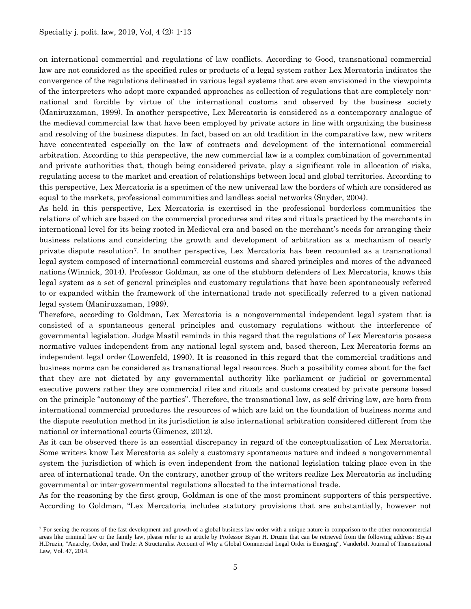$\overline{\phantom{a}}$ 

on international commercial and regulations of law conflicts. According to Good, transnational commercial law are not considered as the specified rules or products of a legal system rather Lex Mercatoria indicates the convergence of the regulations delineated in various legal systems that are even envisioned in the viewpoints of the interpreters who adopt more expanded approaches as collection of regulations that are completely nonnational and forcible by virtue of the international customs and observed by the business society (Maniruzzaman, 1999). In another perspective, Lex Mercatoria is considered as a contemporary analogue of the medieval commercial law that have been employed by private actors in line with organizing the business and resolving of the business disputes. In fact, based on an old tradition in the comparative law, new writers have concentrated especially on the law of contracts and development of the international commercial arbitration. According to this perspective, the new commercial law is a complex combination of governmental and private authorities that, though being considered private, play a significant role in allocation of risks, regulating access to the market and creation of relationships between local and global territories. According to this perspective, Lex Mercatoria is a specimen of the new universal law the borders of which are considered as equal to the markets, professional communities and landless social networks (Snyder, 2004).

As held in this perspective, Lex Mercatoria is exercised in the professional borderless communities the relations of which are based on the commercial procedures and rites and rituals practiced by the merchants in international level for its being rooted in Medieval era and based on the merchant's needs for arranging their business relations and considering the growth and development of arbitration as a mechanism of nearly private dispute resolution[7.](#page-4-0) In another perspective, Lex Mercatoria has been recounted as a transnational legal system composed of international commercial customs and shared principles and mores of the advanced nations (Winnick, 2014). Professor Goldman, as one of the stubborn defenders of Lex Mercatoria, knows this legal system as a set of general principles and customary regulations that have been spontaneously referred to or expanded within the framework of the international trade not specifically referred to a given national legal system (Maniruzzaman, 1999).

Therefore, according to Goldman, Lex Mercatoria is a nongovernmental independent legal system that is consisted of a spontaneous general principles and customary regulations without the interference of governmental legislation. Judge Mastil reminds in this regard that the regulations of Lex Mercatoria possess normative values independent from any national legal system and, based thereon, Lex Mercatoria forms an independent legal order (Lowenfeld, 1990). It is reasoned in this regard that the commercial traditions and business norms can be considered as transnational legal resources. Such a possibility comes about for the fact that they are not dictated by any governmental authority like parliament or judicial or governmental executive powers rather they are commercial rites and rituals and customs created by private persons based on the principle "autonomy of the parties". Therefore, the transnational law, as self-driving law, are born from international commercial procedures the resources of which are laid on the foundation of business norms and the dispute resolution method in its jurisdiction is also international arbitration considered different from the national or international courts (Gimenez, 2012).

As it can be observed there is an essential discrepancy in regard of the conceptualization of Lex Mercatoria. Some writers know Lex Mercatoria as solely a customary spontaneous nature and indeed a nongovernmental system the jurisdiction of which is even independent from the national legislation taking place even in the area of international trade. On the contrary, another group of the writers realize Lex Mercatoria as including governmental or inter-governmental regulations allocated to the international trade.

As for the reasoning by the first group, Goldman is one of the most prominent supporters of this perspective. According to Goldman, "Lex Mercatoria includes statutory provisions that are substantially, however not

<span id="page-4-0"></span> $<sup>7</sup>$  For seeing the reasons of the fast development and growth of a global business law order with a unique nature in comparison to the other noncommercial</sup> areas like criminal law or the family law, please refer to an article by Professor Bryan H. Druzin that can be retrieved from the following address: Bryan H.Druzin, "Anarchy, Order, and Trade: A Structuralist Account of Why a Global Commercial Legal Order is Emerging", Vanderbilt Journal of Transnational Law, Vol. 47, 2014.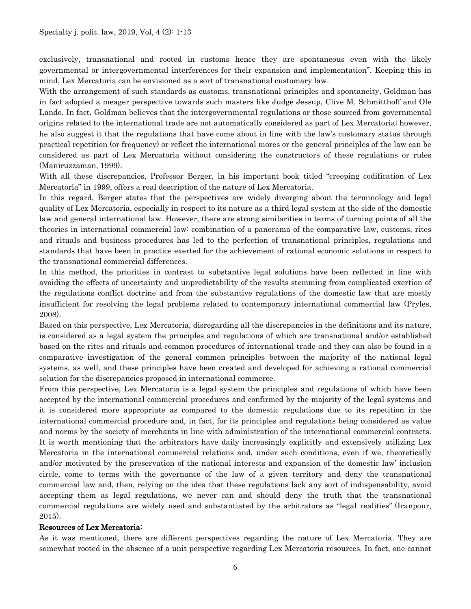exclusively, transnational and rooted in customs hence they are spontaneous even with the likely governmental or intergovernmental interferences for their expansion and implementation". Keeping this in mind, Lex Mercatoria can be envisioned as a sort of transnational customary law.

With the arrangement of such standards as customs, transnational principles and spontaneity, Goldman has in fact adopted a meager perspective towards such masters like Judge Jessup, Clive M. Schmitthoff and Ole Lando. In fact, Goldman believes that the intergovernmental regulations or those sourced from governmental origins related to the international trade are not automatically considered as part of Lex Mercatoria; however, he also suggest it that the regulations that have come about in line with the law's customary status through practical repetition (or frequency) or reflect the international mores or the general principles of the law can be considered as part of Lex Mercatoria without considering the constructors of these regulations or rules (Maniruzzaman, 1999).

With all these discrepancies, Professor Berger, in his important book titled "creeping codification of Lex Mercatoria" in 1999, offers a real description of the nature of Lex Mercatoria.

In this regard, Berger states that the perspectives are widely diverging about the terminology and legal quality of Lex Mercatoria, especially in respect to its nature as a third legal system at the side of the domestic law and general international law. However, there are strong similarities in terms of turning points of all the theories in international commercial law: combination of a panorama of the comparative law, customs, rites and rituals and business procedures has led to the perfection of transnational principles, regulations and standards that have been in practice exerted for the achievement of rational economic solutions in respect to the transnational commercial differences.

In this method, the priorities in contrast to substantive legal solutions have been reflected in line with avoiding the effects of uncertainty and unpredictability of the results stemming from complicated exertion of the regulations conflict doctrine and from the substantive regulations of the domestic law that are mostly insufficient for resolving the legal problems related to contemporary international commercial law (Pryles, 2008).

Based on this perspective, Lex Mercatoria, disregarding all the discrepancies in the definitions and its nature, is considered as a legal system the principles and regulations of which are transnational and/or established based on the rites and rituals and common procedures of international trade and they can also be found in a comparative investigation of the general common principles between the majority of the national legal systems, as well, and these principles have been created and developed for achieving a rational commercial solution for the discrepancies proposed in international commerce.

From this perspective, Lex Mercatoria is a legal system the principles and regulations of which have been accepted by the international commercial procedures and confirmed by the majority of the legal systems and it is considered more appropriate as compared to the domestic regulations due to its repetition in the international commercial procedure and, in fact, for its principles and regulations being considered as value and norms by the society of merchants in line with administration of the international commercial contracts. It is worth mentioning that the arbitrators have daily increasingly explicitly and extensively utilizing Lex Mercatoria in the international commercial relations and, under such conditions, even if we, theoretically and/or motivated by the preservation of the national interests and expansion of the domestic law' inclusion circle, come to terms with the governance of the law of a given territory and deny the transnational commercial law and, then, relying on the idea that these regulations lack any sort of indispensability, avoid accepting them as legal regulations, we never can and should deny the truth that the transnational commercial regulations are widely used and substantiated by the arbitrators as "legal realities" (Iranpour, 2015).

#### Resources of Lex Mercatoria:

As it was mentioned, there are different perspectives regarding the nature of Lex Mercatoria. They are somewhat rooted in the absence of a unit perspective regarding Lex Mercatoria resources. In fact, one cannot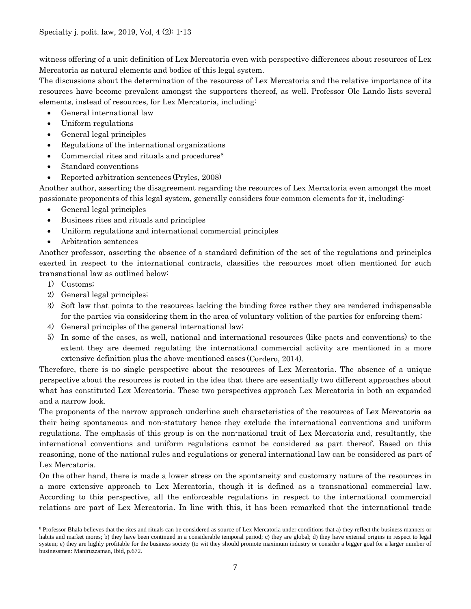witness offering of a unit definition of Lex Mercatoria even with perspective differences about resources of Lex Mercatoria as natural elements and bodies of this legal system.

The discussions about the determination of the resources of Lex Mercatoria and the relative importance of its resources have become prevalent amongst the supporters thereof, as well. Professor Ole Lando lists several elements, instead of resources, for Lex Mercatoria, including:

- General international law
- Uniform regulations
- General legal principles
- Regulations of the international organizations
- Commercial rites and rituals and procedures $8$
- Standard conventions
- Reported arbitration sentences (Pryles, 2008)

Another author, asserting the disagreement regarding the resources of Lex Mercatoria even amongst the most passionate proponents of this legal system, generally considers four common elements for it, including:

- General legal principles
- Business rites and rituals and principles
- Uniform regulations and international commercial principles
- Arbitration sentences

Another professor, asserting the absence of a standard definition of the set of the regulations and principles exerted in respect to the international contracts, classifies the resources most often mentioned for such transnational law as outlined below:

- 1) Customs;
- 2) General legal principles;
- 3) Soft law that points to the resources lacking the binding force rather they are rendered indispensable for the parties via considering them in the area of voluntary volition of the parties for enforcing them;
- 4) General principles of the general international law;
- 5) In some of the cases, as well, national and international resources (like pacts and conventions) to the extent they are deemed regulating the international commercial activity are mentioned in a more extensive definition plus the above-mentioned cases (Cordero, 2014).

Therefore, there is no single perspective about the resources of Lex Mercatoria. The absence of a unique perspective about the resources is rooted in the idea that there are essentially two different approaches about what has constituted Lex Mercatoria. These two perspectives approach Lex Mercatoria in both an expanded and a narrow look.

The proponents of the narrow approach underline such characteristics of the resources of Lex Mercatoria as their being spontaneous and non-statutory hence they exclude the international conventions and uniform regulations. The emphasis of this group is on the non-national trait of Lex Mercatoria and, resultantly, the international conventions and uniform regulations cannot be considered as part thereof. Based on this reasoning, none of the national rules and regulations or general international law can be considered as part of Lex Mercatoria.

On the other hand, there is made a lower stress on the spontaneity and customary nature of the resources in a more extensive approach to Lex Mercatoria, though it is defined as a transnational commercial law. According to this perspective, all the enforceable regulations in respect to the international commercial relations are part of Lex Mercatoria. In line with this, it has been remarked that the international trade

<span id="page-6-0"></span> $\overline{\phantom{a}}$ <sup>8</sup> Professor Bhala believes that the rites and rituals can be considered as source of Lex Mercatoria under conditions that a) they reflect the business manners or habits and market mores; b) they have been continued in a considerable temporal period; c) they are global; d) they have external origins in respect to legal system; e) they are highly profitable for the business society (to wit they should promote maximum industry or consider a bigger goal for a larger number of businessmen: Maniruzzaman, Ibid, p.672.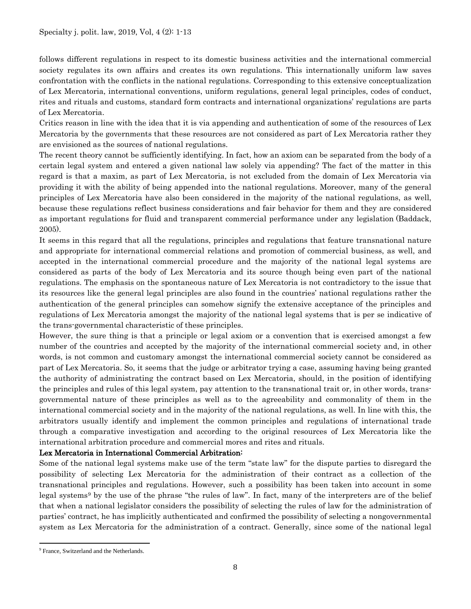follows different regulations in respect to its domestic business activities and the international commercial society regulates its own affairs and creates its own regulations. This internationally uniform law saves confrontation with the conflicts in the national regulations. Corresponding to this extensive conceptualization of Lex Mercatoria, international conventions, uniform regulations, general legal principles, codes of conduct, rites and rituals and customs, standard form contracts and international organizations' regulations are parts of Lex Mercatoria.

Critics reason in line with the idea that it is via appending and authentication of some of the resources of Lex Mercatoria by the governments that these resources are not considered as part of Lex Mercatoria rather they are envisioned as the sources of national regulations.

The recent theory cannot be sufficiently identifying. In fact, how an axiom can be separated from the body of a certain legal system and entered a given national law solely via appending? The fact of the matter in this regard is that a maxim, as part of Lex Mercatoria, is not excluded from the domain of Lex Mercatoria via providing it with the ability of being appended into the national regulations. Moreover, many of the general principles of Lex Mercatoria have also been considered in the majority of the national regulations, as well, because these regulations reflect business considerations and fair behavior for them and they are considered as important regulations for fluid and transparent commercial performance under any legislation (Baddack, 2005).

It seems in this regard that all the regulations, principles and regulations that feature transnational nature and appropriate for international commercial relations and promotion of commercial business, as well, and accepted in the international commercial procedure and the majority of the national legal systems are considered as parts of the body of Lex Mercatoria and its source though being even part of the national regulations. The emphasis on the spontaneous nature of Lex Mercatoria is not contradictory to the issue that its resources like the general legal principles are also found in the countries' national regulations rather the authentication of the general principles can somehow signify the extensive acceptance of the principles and regulations of Lex Mercatoria amongst the majority of the national legal systems that is per se indicative of the trans-governmental characteristic of these principles.

However, the sure thing is that a principle or legal axiom or a convention that is exercised amongst a few number of the countries and accepted by the majority of the international commercial society and, in other words, is not common and customary amongst the international commercial society cannot be considered as part of Lex Mercatoria. So, it seems that the judge or arbitrator trying a case, assuming having being granted the authority of administrating the contract based on Lex Mercatoria, should, in the position of identifying the principles and rules of this legal system, pay attention to the transnational trait or, in other words, transgovernmental nature of these principles as well as to the agreeability and commonality of them in the international commercial society and in the majority of the national regulations, as well. In line with this, the arbitrators usually identify and implement the common principles and regulations of international trade through a comparative investigation and according to the original resources of Lex Mercatoria like the international arbitration procedure and commercial mores and rites and rituals.

## Lex Mercatoria in International Commercial Arbitration:

Some of the national legal systems make use of the term "state law" for the dispute parties to disregard the possibility of selecting Lex Mercatoria for the administration of their contract as a collection of the transnational principles and regulations. However, such a possibility has been taken into account in some legal systems[9](#page-7-0) by the use of the phrase "the rules of law". In fact, many of the interpreters are of the belief that when a national legislator considers the possibility of selecting the rules of law for the administration of parties' contract, he has implicitly authenticated and confirmed the possibility of selecting a nongovernmental system as Lex Mercatoria for the administration of a contract. Generally, since some of the national legal

<span id="page-7-0"></span>l <sup>9</sup> France, Switzerland and the Netherlands.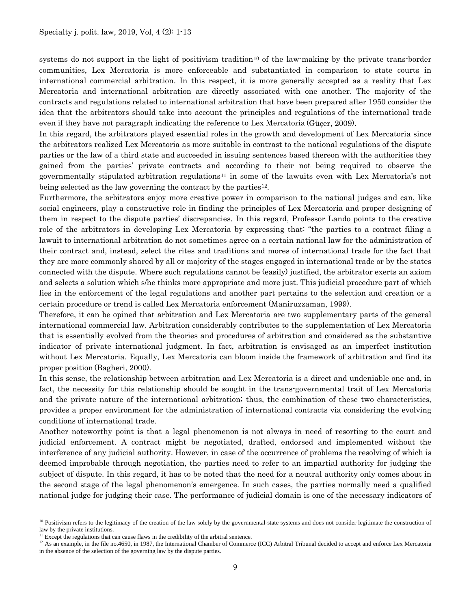systems do not support in the light of positivism tradition<sup>[10](#page-8-0)</sup> of the law-making by the private trans-border communities, Lex Mercatoria is more enforceable and substantiated in comparison to state courts in international commercial arbitration. In this respect, it is more generally accepted as a reality that Lex Mercatoria and international arbitration are directly associated with one another. The majority of the contracts and regulations related to international arbitration that have been prepared after 1950 consider the idea that the arbitrators should take into account the principles and regulations of the international trade even if they have not paragraph indicating the reference to Lex Mercatoria (Güçer, 2009).

In this regard, the arbitrators played essential roles in the growth and development of Lex Mercatoria since the arbitrators realized Lex Mercatoria as more suitable in contrast to the national regulations of the dispute parties or the law of a third state and succeeded in issuing sentences based thereon with the authorities they gained from the parties' private contracts and according to their not being required to observe the governmentally stipulated arbitration regulations<sup>[11](#page-8-1)</sup> in some of the lawuits even with Lex Mercatoria's not being selected as the law governing the contract by the parties<sup>[12](#page-8-2)</sup>.

Furthermore, the arbitrators enjoy more creative power in comparison to the national judges and can, like social engineers, play a constructive role in finding the principles of Lex Mercatoria and proper designing of them in respect to the dispute parties' discrepancies. In this regard, Professor Lando points to the creative role of the arbitrators in developing Lex Mercatoria by expressing that: "the parties to a contract filing a lawuit to international arbitration do not sometimes agree on a certain national law for the administration of their contract and, instead, select the rites and traditions and mores of international trade for the fact that they are more commonly shared by all or majority of the stages engaged in international trade or by the states connected with the dispute. Where such regulations cannot be (easily) justified, the arbitrator exerts an axiom and selects a solution which s/he thinks more appropriate and more just. This judicial procedure part of which lies in the enforcement of the legal regulations and another part pertains to the selection and creation or a certain procedure or trend is called Lex Mercatoria enforcement (Maniruzzaman, 1999).

Therefore, it can be opined that arbitration and Lex Mercatoria are two supplementary parts of the general international commercial law. Arbitration considerably contributes to the supplementation of Lex Mercatoria that is essentially evolved from the theories and procedures of arbitration and considered as the substantive indicator of private international judgment. In fact, arbitration is envisaged as an imperfect institution without Lex Mercatoria. Equally, Lex Mercatoria can bloom inside the framework of arbitration and find its proper position (Bagheri, 2000).

In this sense, the relationship between arbitration and Lex Mercatoria is a direct and undeniable one and, in fact, the necessity for this relationship should be sought in the trans-governmental trait of Lex Mercatoria and the private nature of the international arbitration; thus, the combination of these two characteristics, provides a proper environment for the administration of international contracts via considering the evolving conditions of international trade.

Another noteworthy point is that a legal phenomenon is not always in need of resorting to the court and judicial enforcement. A contract might be negotiated, drafted, endorsed and implemented without the interference of any judicial authority. However, in case of the occurrence of problems the resolving of which is deemed improbable through negotiation, the parties need to refer to an impartial authority for judging the subject of dispute. In this regard, it has to be noted that the need for a neutral authority only comes about in the second stage of the legal phenomenon's emergence. In such cases, the parties normally need a qualified national judge for judging their case. The performance of judicial domain is one of the necessary indicators of

l

<span id="page-8-0"></span><sup>&</sup>lt;sup>10</sup> Positivism refers to the legitimacy of the creation of the law solely by the governmental-state systems and does not consider legitimate the construction of law by the private institutions.

<span id="page-8-1"></span><sup>&</sup>lt;sup>11</sup> Except the regulations that can cause flaws in the credibility of the arbitral sentence.

<span id="page-8-2"></span> $12$  As an example, in the file no.4650, in 1987, the International Chamber of Commerce (ICC) Arbitral Tribunal decided to accept and enforce Lex Mercatoria in the absence of the selection of the governing law by the dispute parties.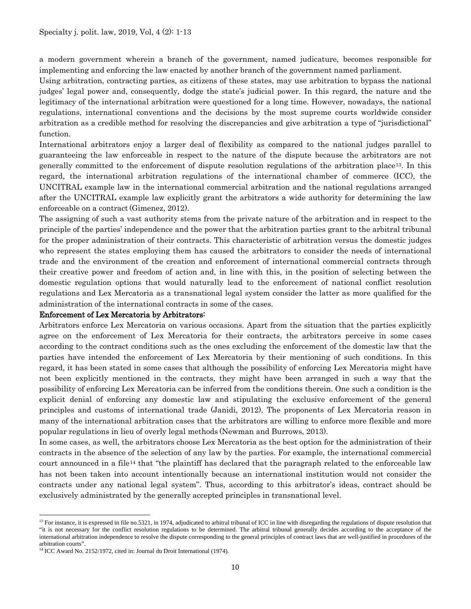a modern government wherein a branch of the government, named judicature, becomes responsible for implementing and enforcing the law enacted by another branch of the government named parliament.

Using arbitration, contracting parties, as citizens of these states, may use arbitration to bypass the national judges' legal power and, consequently, dodge the state's judicial power. In this regard, the nature and the legitimacy of the international arbitration were questioned for a long time. However, nowadays, the national regulations, international conventions and the decisions by the most supreme courts worldwide consider arbitration as a credible method for resolving the discrepancies and give arbitration a type of "jurisdictional" function.

International arbitrators enjoy a larger deal of flexibility as compared to the national judges parallel to guaranteeing the law enforceable in respect to the nature of the dispute because the arbitrators are not generally committed to the enforcement of dispute resolution regulations of the arbitration place[13.](#page-9-0) In this regard, the international arbitration regulations of the international chamber of commerce (ICC), the UNCITRAL example law in the international commercial arbitration and the national regulations arranged after the UNCITRAL example law explicitly grant the arbitrators a wide authority for determining the law enforceable on a contract (Gimenez, 2012).

The assigning of such a vast authority stems from the private nature of the arbitration and in respect to the principle of the parties' independence and the power that the arbitration parties grant to the arbitral tribunal for the proper administration of their contracts. This characteristic of arbitration versus the domestic judges who represent the states employing them has caused the arbitrators to consider the needs of international trade and the environment of the creation and enforcement of international commercial contracts through their creative power and freedom of action and, in line with this, in the position of selecting between the domestic regulation options that would naturally lead to the enforcement of national conflict resolution regulations and Lex Mercatoria as a transnational legal system consider the latter as more qualified for the administration of the international contracts in some of the cases.

#### Enforcement of Lex Mercatoria by Arbitrators:

Arbitrators enforce Lex Mercatoria on various occasions. Apart from the situation that the parties explicitly agree on the enforcement of Lex Mercatoria for their contracts, the arbitrators perceive in some cases according to the contract conditions such as the ones excluding the enforcement of the domestic law that the parties have intended the enforcement of Lex Mercatoria by their mentioning of such conditions. In this regard, it has been stated in some cases that although the possibility of enforcing Lex Mercatoria might have not been explicitly mentioned in the contracts, they might have been arranged in such a way that the possibility of enforcing Lex Mercatoria can be inferred from the conditions therein. One such a condition is the explicit denial of enforcing any domestic law and stipulating the exclusive enforcement of the general principles and customs of international trade (Janidi, 2012). The proponents of Lex Mercatoria reason in many of the international arbitration cases that the arbitrators are willing to enforce more flexible and more popular regulations in lieu of overly legal methods (Newman and Burrows, 2013).

In some cases, as well, the arbitrators choose Lex Mercatoria as the best option for the administration of their contracts in the absence of the selection of any law by the parties. For example, the international commercial court announced in a file<sup>[14](#page-9-1)</sup> that "the plaintiff has declared that the paragraph related to the enforceable law has not been taken into account intentionally because an international institution would not consider the contracts under any national legal system". Thus, according to this arbitrator's ideas, contract should be exclusively administrated by the generally accepted principles in transnational level.

l

<span id="page-9-0"></span><sup>&</sup>lt;sup>13</sup> For instance, it is expressed in file no.5321, in 1974, adjudicated to arbitral tribunal of ICC in line with disregarding the regulations of dispute resolution that "it is not necessary for the conflict resolution regulations to be determined. The arbitral tribunal generally decides according to the acceptance of the international arbitration independence to resolve the dispute corresponding to the general principles of contract laws that are well-justified in procedures of the

<span id="page-9-1"></span>arbitration courts". 14 ICC Award No. 2152/1972, cited in: Journal du Droit International (1974).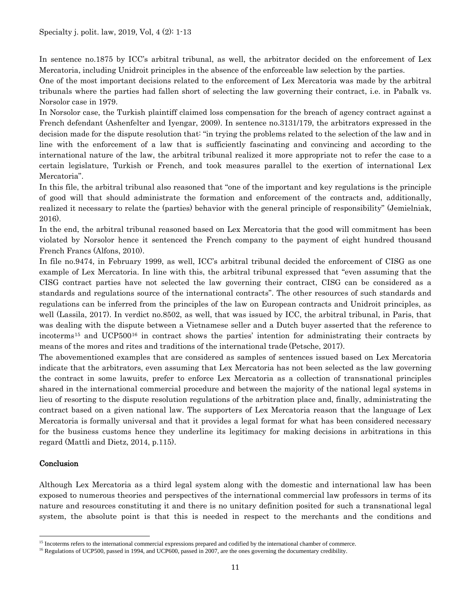In sentence no.1875 by ICC's arbitral tribunal, as well, the arbitrator decided on the enforcement of Lex Mercatoria, including Unidroit principles in the absence of the enforceable law selection by the parties.

One of the most important decisions related to the enforcement of Lex Mercatoria was made by the arbitral tribunals where the parties had fallen short of selecting the law governing their contract, i.e. in Pabalk vs. Norsolor case in 1979.

In Norsolor case, the Turkish plaintiff claimed loss compensation for the breach of agency contract against a French defendant (Ashenfelter and Iyengar, 2009). In sentence no.3131/179, the arbitrators expressed in the decision made for the dispute resolution that: "in trying the problems related to the selection of the law and in line with the enforcement of a law that is sufficiently fascinating and convincing and according to the international nature of the law, the arbitral tribunal realized it more appropriate not to refer the case to a certain legislature, Turkish or French, and took measures parallel to the exertion of international Lex Mercatoria".

In this file, the arbitral tribunal also reasoned that "one of the important and key regulations is the principle of good will that should administrate the formation and enforcement of the contracts and, additionally, realized it necessary to relate the (parties) behavior with the general principle of responsibility" (Jemielniak, 2016).

In the end, the arbitral tribunal reasoned based on Lex Mercatoria that the good will commitment has been violated by Norsolor hence it sentenced the French company to the payment of eight hundred thousand French Francs (Alfons, 2010).

In file no.9474, in February 1999, as well, ICC's arbitral tribunal decided the enforcement of CISG as one example of Lex Mercatoria. In line with this, the arbitral tribunal expressed that "even assuming that the CISG contract parties have not selected the law governing their contract, CISG can be considered as a standards and regulations source of the international contracts". The other resources of such standards and regulations can be inferred from the principles of the law on European contracts and Unidroit principles, as well (Lassila, 2017). In verdict no.8502, as well, that was issued by ICC, the arbitral tribunal, in Paris, that was dealing with the dispute between a Vietnamese seller and a Dutch buyer asserted that the reference to incoterms[15](#page-10-0) and UCP500[16](#page-10-1) in contract shows the parties' intention for administrating their contracts by means of the mores and rites and traditions of the international trade (Petsche, 2017).

The abovementioned examples that are considered as samples of sentences issued based on Lex Mercatoria indicate that the arbitrators, even assuming that Lex Mercatoria has not been selected as the law governing the contract in some lawuits, prefer to enforce Lex Mercatoria as a collection of transnational principles shared in the international commercial procedure and between the majority of the national legal systems in lieu of resorting to the dispute resolution regulations of the arbitration place and, finally, administrating the contract based on a given national law. The supporters of Lex Mercatoria reason that the language of Lex Mercatoria is formally universal and that it provides a legal format for what has been considered necessary for the business customs hence they underline its legitimacy for making decisions in arbitrations in this regard (Mattli and Dietz, 2014, p.115).

#### **Conclusion**

 $\overline{a}$ 

Although Lex Mercatoria as a third legal system along with the domestic and international law has been exposed to numerous theories and perspectives of the international commercial law professors in terms of its nature and resources constituting it and there is no unitary definition posited for such a transnational legal system, the absolute point is that this is needed in respect to the merchants and the conditions and

<span id="page-10-0"></span><sup>&</sup>lt;sup>15</sup> Incoterms refers to the international commercial expressions prepared and codified by the international chamber of commerce.

<span id="page-10-1"></span><sup>&</sup>lt;sup>16</sup> Regulations of UCP500, passed in 1994, and UCP600, passed in 2007, are the ones governing the documentary credibility.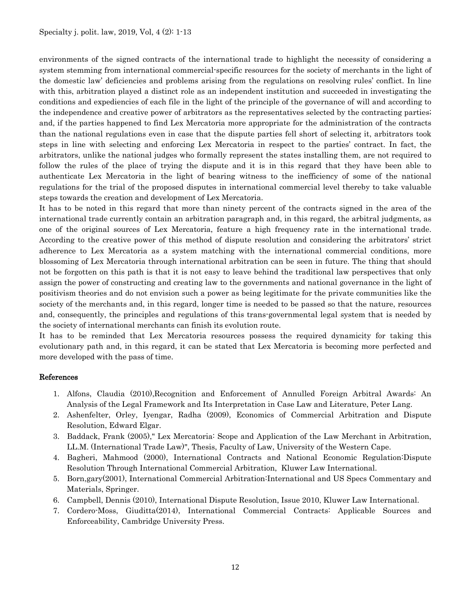environments of the signed contracts of the international trade to highlight the necessity of considering a system stemming from international commercial-specific resources for the society of merchants in the light of the domestic law' deficiencies and problems arising from the regulations on resolving rules' conflict. In line with this, arbitration played a distinct role as an independent institution and succeeded in investigating the conditions and expediencies of each file in the light of the principle of the governance of will and according to the independence and creative power of arbitrators as the representatives selected by the contracting parties; and, if the parties happened to find Lex Mercatoria more appropriate for the administration of the contracts than the national regulations even in case that the dispute parties fell short of selecting it, arbitrators took steps in line with selecting and enforcing Lex Mercatoria in respect to the parties' contract. In fact, the arbitrators, unlike the national judges who formally represent the states installing them, are not required to follow the rules of the place of trying the dispute and it is in this regard that they have been able to authenticate Lex Mercatoria in the light of bearing witness to the inefficiency of some of the national regulations for the trial of the proposed disputes in international commercial level thereby to take valuable steps towards the creation and development of Lex Mercatoria.

It has to be noted in this regard that more than ninety percent of the contracts signed in the area of the international trade currently contain an arbitration paragraph and, in this regard, the arbitral judgments, as one of the original sources of Lex Mercatoria, feature a high frequency rate in the international trade. According to the creative power of this method of dispute resolution and considering the arbitrators' strict adherence to Lex Mercatoria as a system matching with the international commercial conditions, more blossoming of Lex Mercatoria through international arbitration can be seen in future. The thing that should not be forgotten on this path is that it is not easy to leave behind the traditional law perspectives that only assign the power of constructing and creating law to the governments and national governance in the light of positivism theories and do not envision such a power as being legitimate for the private communities like the society of the merchants and, in this regard, longer time is needed to be passed so that the nature, resources and, consequently, the principles and regulations of this trans-governmental legal system that is needed by the society of international merchants can finish its evolution route.

It has to be reminded that Lex Mercatoria resources possess the required dynamicity for taking this evolutionary path and, in this regard, it can be stated that Lex Mercatoria is becoming more perfected and more developed with the pass of time.

## References

- 1. Alfons, Claudia (2010),Recognition and Enforcement of Annulled Foreign Arbitral Awards: An Analysis of the Legal Framework and Its Interpretation in Case Law and Literature, Peter Lang.
- 2. Ashenfelter, Orley, Iyengar, Radha (2009), Economics of Commercial Arbitration and Dispute Resolution, Edward Elgar.
- 3. Baddack, Frank (2005)," Lex Mercatoria: Scope and Application of the Law Merchant in Arbitration, LL.M. (International Trade Law)", Thesis, Faculty of Law, University of the Western Cape.
- 4. Bagheri, Mahmood (2000), International Contracts and National Economic Regulation:Dispute Resolution Through International Commercial Arbitration, Kluwer Law International.
- 5. Born,gary(2001), International Commercial Arbitration:International and US Specs Commentary and Materials, Springer.
- 6. Campbell, Dennis (2010), International Dispute Resolution, Issue 2010, Kluwer Law International.
- 7. Cordero-Moss, Giuditta(2014), International Commercial Contracts: Applicable Sources and Enforceability, Cambridge University Press.